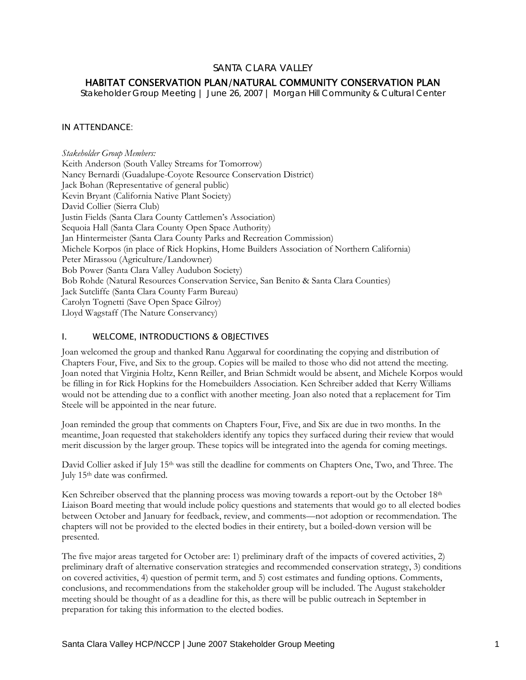## SANTA CLARA VALLEY

# HABITAT CONSERVATION PLAN/NATURAL COMMUNITY CONSERVATION PLAN

*Stakeholder Group Meeting | June 26, 2007 | Morgan Hill Community & Cultural Center* 

### IN ATTENDANCE:

*Stakeholder Group Members:*  Keith Anderson (South Valley Streams for Tomorrow) Nancy Bernardi (Guadalupe-Coyote Resource Conservation District) Jack Bohan (Representative of general public) Kevin Bryant (California Native Plant Society) David Collier (Sierra Club) Justin Fields (Santa Clara County Cattlemen's Association) Sequoia Hall (Santa Clara County Open Space Authority) Jan Hintermeister (Santa Clara County Parks and Recreation Commission) Michele Korpos (in place of Rick Hopkins, Home Builders Association of Northern California) Peter Mirassou (Agriculture/Landowner) Bob Power (Santa Clara Valley Audubon Society) Bob Rohde (Natural Resources Conservation Service, San Benito & Santa Clara Counties) Jack Sutcliffe (Santa Clara County Farm Bureau) Carolyn Tognetti (Save Open Space Gilroy) Lloyd Wagstaff (The Nature Conservancy)

### I. WELCOME, INTRODUCTIONS & OBJECTIVES

Joan welcomed the group and thanked Ranu Aggarwal for coordinating the copying and distribution of Chapters Four, Five, and Six to the group. Copies will be mailed to those who did not attend the meeting. Joan noted that Virginia Holtz, Kenn Reiller, and Brian Schmidt would be absent, and Michele Korpos would be filling in for Rick Hopkins for the Homebuilders Association. Ken Schreiber added that Kerry Williams would not be attending due to a conflict with another meeting. Joan also noted that a replacement for Tim Steele will be appointed in the near future.

Joan reminded the group that comments on Chapters Four, Five, and Six are due in two months. In the meantime, Joan requested that stakeholders identify any topics they surfaced during their review that would merit discussion by the larger group. These topics will be integrated into the agenda for coming meetings.

David Collier asked if July 15<sup>th</sup> was still the deadline for comments on Chapters One, Two, and Three. The July 15th date was confirmed.

Ken Schreiber observed that the planning process was moving towards a report-out by the October 18<sup>th</sup> Liaison Board meeting that would include policy questions and statements that would go to all elected bodies between October and January for feedback, review, and comments—not adoption or recommendation. The chapters will not be provided to the elected bodies in their entirety, but a boiled-down version will be presented.

The five major areas targeted for October are: 1) preliminary draft of the impacts of covered activities, 2) preliminary draft of alternative conservation strategies and recommended conservation strategy, 3) conditions on covered activities, 4) question of permit term, and 5) cost estimates and funding options. Comments, conclusions, and recommendations from the stakeholder group will be included. The August stakeholder meeting should be thought of as a deadline for this, as there will be public outreach in September in preparation for taking this information to the elected bodies.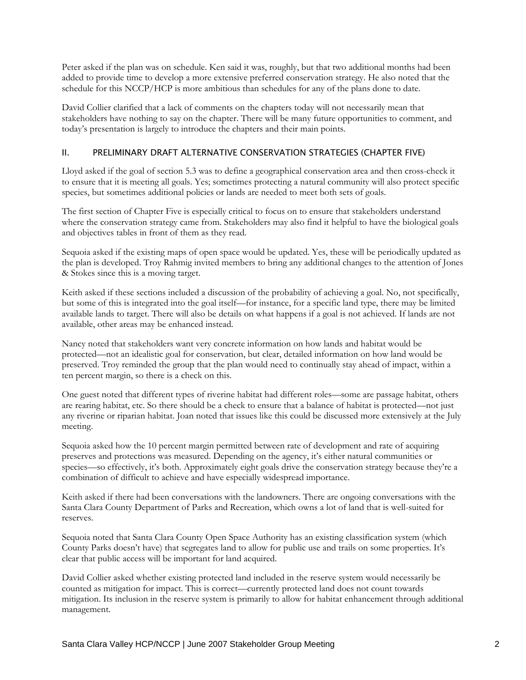Peter asked if the plan was on schedule. Ken said it was, roughly, but that two additional months had been added to provide time to develop a more extensive preferred conservation strategy. He also noted that the schedule for this NCCP/HCP is more ambitious than schedules for any of the plans done to date.

David Collier clarified that a lack of comments on the chapters today will not necessarily mean that stakeholders have nothing to say on the chapter. There will be many future opportunities to comment, and today's presentation is largely to introduce the chapters and their main points.

#### II. PRELIMINARY DRAFT ALTERNATIVE CONSERVATION STRATEGIES (CHAPTER FIVE)

Lloyd asked if the goal of section 5.3 was to define a geographical conservation area and then cross-check it to ensure that it is meeting all goals. Yes; sometimes protecting a natural community will also protect specific species, but sometimes additional policies or lands are needed to meet both sets of goals.

The first section of Chapter Five is especially critical to focus on to ensure that stakeholders understand where the conservation strategy came from. Stakeholders may also find it helpful to have the biological goals and objectives tables in front of them as they read.

Sequoia asked if the existing maps of open space would be updated. Yes, these will be periodically updated as the plan is developed. Troy Rahmig invited members to bring any additional changes to the attention of Jones & Stokes since this is a moving target.

Keith asked if these sections included a discussion of the probability of achieving a goal. No, not specifically, but some of this is integrated into the goal itself—for instance, for a specific land type, there may be limited available lands to target. There will also be details on what happens if a goal is not achieved. If lands are not available, other areas may be enhanced instead.

Nancy noted that stakeholders want very concrete information on how lands and habitat would be protected—not an idealistic goal for conservation, but clear, detailed information on how land would be preserved. Troy reminded the group that the plan would need to continually stay ahead of impact, within a ten percent margin, so there is a check on this.

One guest noted that different types of riverine habitat had different roles—some are passage habitat, others are rearing habitat, etc. So there should be a check to ensure that a balance of habitat is protected—not just any riverine or riparian habitat. Joan noted that issues like this could be discussed more extensively at the July meeting.

Sequoia asked how the 10 percent margin permitted between rate of development and rate of acquiring preserves and protections was measured. Depending on the agency, it's either natural communities or species—so effectively, it's both. Approximately eight goals drive the conservation strategy because they're a combination of difficult to achieve and have especially widespread importance.

Keith asked if there had been conversations with the landowners. There are ongoing conversations with the Santa Clara County Department of Parks and Recreation, which owns a lot of land that is well-suited for reserves.

Sequoia noted that Santa Clara County Open Space Authority has an existing classification system (which County Parks doesn't have) that segregates land to allow for public use and trails on some properties. It's clear that public access will be important for land acquired.

David Collier asked whether existing protected land included in the reserve system would necessarily be counted as mitigation for impact. This is correct—currently protected land does not count towards mitigation. Its inclusion in the reserve system is primarily to allow for habitat enhancement through additional management.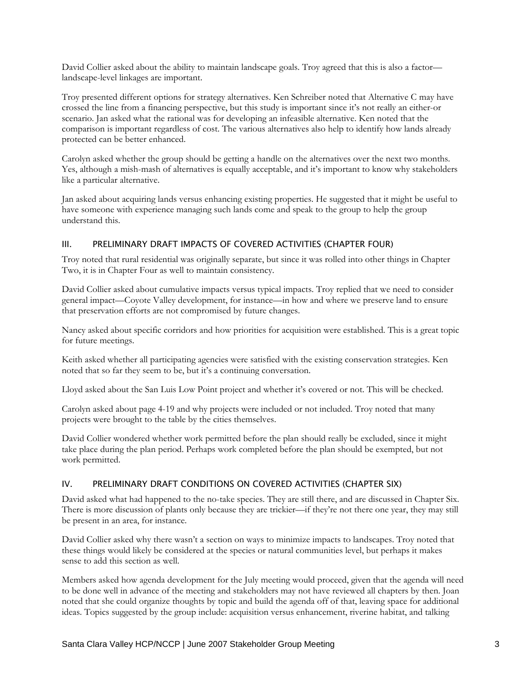David Collier asked about the ability to maintain landscape goals. Troy agreed that this is also a factor landscape-level linkages are important.

Troy presented different options for strategy alternatives. Ken Schreiber noted that Alternative C may have crossed the line from a financing perspective, but this study is important since it's not really an either-or scenario. Jan asked what the rational was for developing an infeasible alternative. Ken noted that the comparison is important regardless of cost. The various alternatives also help to identify how lands already protected can be better enhanced.

Carolyn asked whether the group should be getting a handle on the alternatives over the next two months. Yes, although a mish-mash of alternatives is equally acceptable, and it's important to know why stakeholders like a particular alternative.

Jan asked about acquiring lands versus enhancing existing properties. He suggested that it might be useful to have someone with experience managing such lands come and speak to the group to help the group understand this.

#### III. PRELIMINARY DRAFT IMPACTS OF COVERED ACTIVITIES (CHAPTER FOUR)

Troy noted that rural residential was originally separate, but since it was rolled into other things in Chapter Two, it is in Chapter Four as well to maintain consistency.

David Collier asked about cumulative impacts versus typical impacts. Troy replied that we need to consider general impact—Coyote Valley development, for instance—in how and where we preserve land to ensure that preservation efforts are not compromised by future changes.

Nancy asked about specific corridors and how priorities for acquisition were established. This is a great topic for future meetings.

Keith asked whether all participating agencies were satisfied with the existing conservation strategies. Ken noted that so far they seem to be, but it's a continuing conversation.

Lloyd asked about the San Luis Low Point project and whether it's covered or not. This will be checked.

Carolyn asked about page 4-19 and why projects were included or not included. Troy noted that many projects were brought to the table by the cities themselves.

David Collier wondered whether work permitted before the plan should really be excluded, since it might take place during the plan period. Perhaps work completed before the plan should be exempted, but not work permitted.

#### IV. PRELIMINARY DRAFT CONDITIONS ON COVERED ACTIVITIES (CHAPTER SIX)

David asked what had happened to the no-take species. They are still there, and are discussed in Chapter Six. There is more discussion of plants only because they are trickier—if they're not there one year, they may still be present in an area, for instance.

David Collier asked why there wasn't a section on ways to minimize impacts to landscapes. Troy noted that these things would likely be considered at the species or natural communities level, but perhaps it makes sense to add this section as well.

Members asked how agenda development for the July meeting would proceed, given that the agenda will need to be done well in advance of the meeting and stakeholders may not have reviewed all chapters by then. Joan noted that she could organize thoughts by topic and build the agenda off of that, leaving space for additional ideas. Topics suggested by the group include: acquisition versus enhancement, riverine habitat, and talking